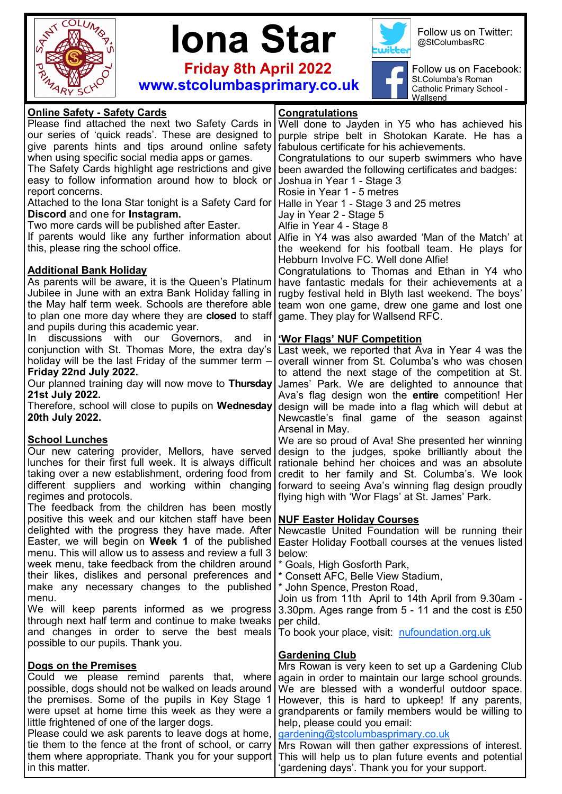



 **Friday 8th April 2022 www.stcolumbasprimary.co.uk**



ſ

Follow us on Twitter: @StColumbasRC

Follow us on Facebook: St.Columba's Roman Catholic Primary School - Wallsend

| <b>Online Safety - Safety Cards</b>                                                                          | Congratulations                                                                                     |
|--------------------------------------------------------------------------------------------------------------|-----------------------------------------------------------------------------------------------------|
| Please find attached the next two Safety Cards in                                                            | Well done to Jayden in Y5 who has achieved his                                                      |
| our series of 'quick reads'. These are designed to                                                           | purple stripe belt in Shotokan Karate. He has a                                                     |
| give parents hints and tips around online safety                                                             | fabulous certificate for his achievements.                                                          |
| when using specific social media apps or games.                                                              | Congratulations to our superb swimmers who have                                                     |
| The Safety Cards highlight age restrictions and give                                                         | been awarded the following certificates and badges:                                                 |
| easy to follow information around how to block or                                                            | Joshua in Year 1 - Stage 3                                                                          |
| report concerns.                                                                                             | Rosie in Year 1 - 5 metres                                                                          |
| Attached to the Iona Star tonight is a Safety Card for                                                       | Halle in Year 1 - Stage 3 and 25 metres                                                             |
| Discord and one for Instagram.                                                                               | Jay in Year 2 - Stage 5                                                                             |
| Two more cards will be published after Easter.                                                               | Alfie in Year 4 - Stage 8                                                                           |
| If parents would like any further information about                                                          | Alfie in Y4 was also awarded 'Man of the Match' at                                                  |
| this, please ring the school office.                                                                         | the weekend for his football team. He plays for                                                     |
|                                                                                                              | Hebburn Involve FC. Well done Alfie!                                                                |
| <b>Additional Bank Holiday</b>                                                                               | Congratulations to Thomas and Ethan in Y4 who                                                       |
| As parents will be aware, it is the Queen's Platinum                                                         | have fantastic medals for their achievements at a                                                   |
| Jubilee in June with an extra Bank Holiday falling in                                                        | rugby festival held in Blyth last weekend. The boys'                                                |
| the May half term week. Schools are therefore able                                                           | team won one game, drew one game and lost one                                                       |
| to plan one more day where they are <b>closed</b> to staff                                                   | game. They play for Wallsend RFC.                                                                   |
| and pupils during this academic year.                                                                        |                                                                                                     |
| discussions with our Governors,<br>In.<br>and<br>ın                                                          | <b>'Wor Flags' NUF Competition</b>                                                                  |
| conjunction with St. Thomas More, the extra day's                                                            | Last week, we reported that Ava in Year 4 was the                                                   |
| holiday will be the last Friday of the summer term -                                                         | overall winner from St. Columba's who was chosen                                                    |
| Friday 22nd July 2022.                                                                                       | to attend the next stage of the competition at St.                                                  |
| Our planned training day will now move to Thursday                                                           | James' Park. We are delighted to announce that                                                      |
| 21st July 2022.                                                                                              | Ava's flag design won the entire competition! Her                                                   |
| Therefore, school will close to pupils on Wednesday                                                          | design will be made into a flag which will debut at                                                 |
| 20th July 2022.                                                                                              | Newcastle's final game of the season against                                                        |
|                                                                                                              | Arsenal in May.                                                                                     |
| <b>School Lunches</b>                                                                                        | We are so proud of Ava! She presented her winning                                                   |
| Our new catering provider, Mellors, have served<br>lunches for their first full week. It is always difficult | design to the judges, spoke brilliantly about the                                                   |
| taking over a new establishment, ordering food from                                                          | rationale behind her choices and was an absolute<br>credit to her family and St. Columba's. We look |
| different suppliers and working within changing                                                              | forward to seeing Ava's winning flag design proudly                                                 |
| regimes and protocols.                                                                                       | flying high with 'Wor Flags' at St. James' Park.                                                    |
| The feedback from the children has been mostly                                                               |                                                                                                     |
| positive this week and our kitchen staff have been                                                           | <b>NUF Easter Holiday Courses</b>                                                                   |
| delighted with the progress they have made. After                                                            | Newcastle United Foundation will be running their                                                   |
| Easter, we will begin on Week 1 of the published                                                             | Easter Holiday Football courses at the venues listed                                                |
| menu. This will allow us to assess and review a full 3                                                       | below:                                                                                              |
| week menu, take feedback from the children around                                                            | * Goals, High Gosforth Park,                                                                        |
| their likes, dislikes and personal preferences and                                                           | * Consett AFC, Belle View Stadium,                                                                  |
| make any necessary changes to the published                                                                  | * John Spence, Preston Road,                                                                        |
| menu.                                                                                                        | Join us from 11th April to 14th April from 9.30am -                                                 |
| We will keep parents informed as we progress                                                                 | 3.30pm. Ages range from 5 - 11 and the cost is £50                                                  |
| through next half term and continue to make tweaks                                                           | per child.                                                                                          |
| and changes in order to serve the best meals                                                                 | To book your place, visit: nufoundation.org.uk                                                      |
| possible to our pupils. Thank you.                                                                           |                                                                                                     |
|                                                                                                              | <b>Gardening Club</b>                                                                               |
| Dogs on the Premises                                                                                         | Mrs Rowan is very keen to set up a Gardening Club                                                   |
| Could we please remind parents that, where                                                                   | again in order to maintain our large school grounds.                                                |
| possible, dogs should not be walked on leads around                                                          | We are blessed with a wonderful outdoor space.                                                      |
| the premises. Some of the pupils in Key Stage 1                                                              | However, this is hard to upkeep! If any parents,                                                    |
| were upset at home time this week as they were a                                                             | grandparents or family members would be willing to                                                  |
| little frightened of one of the larger dogs.                                                                 | help, please could you email:                                                                       |
| Please could we ask parents to leave dogs at home,                                                           | gardening@stcolumbasprimary.co.uk                                                                   |
| tie them to the fence at the front of school, or carry                                                       | Mrs Rowan will then gather expressions of interest.                                                 |
| them where appropriate. Thank you for your support                                                           | This will help us to plan future events and potential                                               |
| in this matter.                                                                                              | 'gardening days'. Thank you for your support.                                                       |